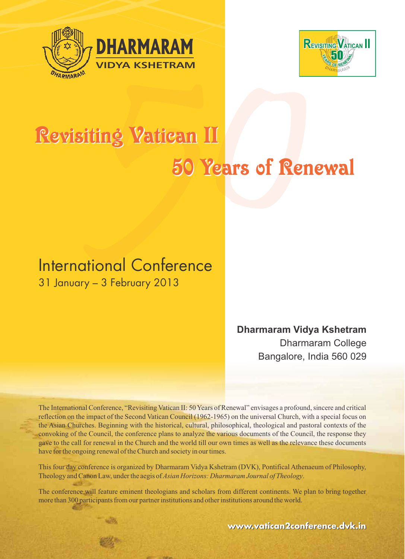



# Revisiting Vatican II<br>Revisiting Vatican II<br>50 Years of Rememberships<br>International Conference Revisiting Vatican II 50 Years of Renewal

# 31 January – 3 February 2013

# Dharmaram Vidya Kshetram Dharmaram College Bangalore, India 560 029

The International Conference, "Revisiting Vatican II: 50 Years of Renewal" envisages a profound, sincere and critical reflection on the impact of the Second Vatican Council (1962-1965) on the universal Church, with a special focus on the Asian Churches. Beginning with the historical, cultural, philosophical, theological and pastoral contexts of the convoking of the Council, the conference plans to analyze the various documents of the Council, the response they gave to the call for renewal in the Church and the world till our own times as well as the relevance these documents have for the ongoing renewal of the Church and society in our times.

This four day conference is organized by Dharmaram Vidya Kshetram (DVK), Pontifical Athenaeum of Philosophy, Theology and Canon Law, under the aegis of Asian Horizons: Dharmaram Journal of Theology.

The conference will feature eminent theologians and scholars from different continents. We plan to bring together more than 300 participants from our partner institutions and other institutions around the world.

**www.vatican2conference.dvk.in .vatican2conference.dvk.in**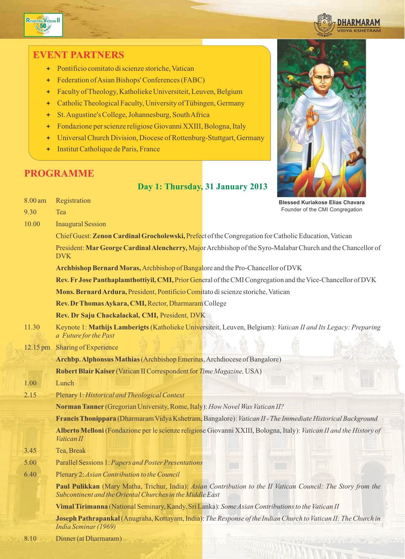



# EVENT PARTNERS

- ª Pontificio comitato di scienze storiche, Vatican
- ª Federation of Asian Bishops' Conferences (FABC)
- ª Faculty of Theology, Katholieke Universiteit, Leuven, Belgium
- ª Catholic Theological Faculty, University of Tübingen, Germany
- ª St. Augustine's College, Johannesburg, South Africa
- ª Fondazione per scienze religiose Giovanni XXIII, Bologna, Italy
- ª Universal Church Division, Diocese of Rottenburg-Stuttgart, Germany
- ª Institut Catholique de Paris, France

# PROGRAMME

# Day 1: Thursday, 31 January 2013



| 8.00 am  | Registration                                                                                      | <b>Blessed Kuriakose Elias Chavara</b>                                                                              |
|----------|---------------------------------------------------------------------------------------------------|---------------------------------------------------------------------------------------------------------------------|
| 9.30     | Tea                                                                                               | Founder of the CMI Congregation                                                                                     |
| 10.00    | <b>Inaugural Session</b>                                                                          |                                                                                                                     |
|          |                                                                                                   | Chief Guest: Zenon Cardinal Grocholewski, Prefect of the Congregation for Catholic Education, Vatican               |
|          | <b>DVK</b>                                                                                        | President: Mar George Cardinal Alencherry, Major Archbishop of the Syro-Malabar Church and the Chancellor of        |
|          | Archbishop Bernard Moras, Archbishop of Bangalore and the Pro-Chancellor of DVK                   |                                                                                                                     |
|          |                                                                                                   | Rev. Fr Jose Panthaplamthottiyil, CMI, Prior General of the CMI Congregation and the Vice-Chancellor of DVK         |
|          | Mons. Bernard Ardura, President, Pontificio Comitato di scienze storiche, Vatican                 |                                                                                                                     |
|          | Rev. Dr Thomas Aykara, CMI, Rector, Dharmaram College                                             |                                                                                                                     |
|          | Rev. Dr Saju Chackalackal, CMI, President, DVK                                                    |                                                                                                                     |
| 11.30    | a Future for the Past                                                                             | Keynote 1: Mathijs Lamberigts (Katholieke Universiteit, Leuven, Belgium): Vatican II and Its Legacy: Preparing      |
| 12.15 pm | Sharing of Experience                                                                             |                                                                                                                     |
|          | Archbp. Alphonsus Mathias (Archbishop Emeritus, Archdiocese of Bangalore)                         |                                                                                                                     |
|          | Robert Blair Kaiser (Vatican II Correspondent for Time Magazine, USA)                             |                                                                                                                     |
| 1.00     | Lunch                                                                                             |                                                                                                                     |
| 2.15     | Plenary 1: Historical and Theological Context                                                     |                                                                                                                     |
|          | Norman Tanner (Gregorian University, Rome, Italy): How Novel Was Vatican II?                      |                                                                                                                     |
|          |                                                                                                   | Francis Thonippara (Dharmaram Vidya Kshetram, Bangalore): Vatican II - The Immediate Historical Background          |
|          | Vatican II                                                                                        | Alberto Melloni (Fondazione per le scienze religiose Giovanni XXIII, Bologna, Italy): Vatican II and the History of |
| 3.45     | Tea, Break                                                                                        |                                                                                                                     |
| 5.00     | <b>Parallel Sessions 1: Papers and Poster Presentations</b>                                       |                                                                                                                     |
| 6.40     | Plenary 2: Asian Contribution to the Council                                                      |                                                                                                                     |
|          | Subcontinent and the Oriental Churches in the Middle East                                         | Paul Pulikkan (Mary Matha, Trichur, India): Asian Contribution to the II Vatican Council: The Story from the        |
|          | Vimal Tirimanna (National Seminary, Kandy, Sri Lanka): Some Asian Contributions to the Vatican II |                                                                                                                     |
|          | India Seminar (1969)                                                                              | Joseph Pathrapankal (Anugraha, Kottayam, India): The Response of the Indian Church to Vatican II: The Church in     |
| 8.10     | Dinner (at Dharmaram)                                                                             | <b>PAGE STREET IN AINT</b>                                                                                          |
|          |                                                                                                   |                                                                                                                     |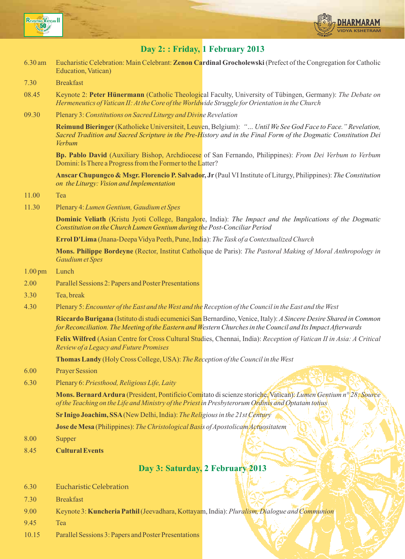



# Day 2: : Friday, 1 February 2013

- 6.30 am Eucharistic Celebration: Main Celebrant: Zenon Cardinal Grocholewski (Prefect of the Congregation for Catholic Education, Vatican)
- 7.30 Breakfast
- 08.45 Keynote 2: Peter Hünermann (Catholic Theological Faculty, University of Tübingen, Germany): The Debate on Hermeneutics of Vatican II: At the Core of the Worldwide Struggle for Orientation in the Church
- 09.30 Plenary 3: Constitutions on Sacred Liturgy and Divine Revelation

Reimund Bieringer (Katholieke Universiteit, Leuven, Belgium): "... Until We See God Face to Face." Revelation, Sacred Tradition and Sacred Scripture in the Pre-History and in the Final Form of the Dogmatic Constitution Dei Verbum

Bp. Pablo David (Auxiliary Bishop, Archdiocese of San Fernando, Philippines): From Dei Verbum to Verbum Domini: Is There a Progress from the Former to the Latter?

Anscar Chupungco & Msgr. Florencio P. Salvador, Jr (Paul VI Institute of Liturgy, Philippines): The Constitution on the Liturgy: Vision and Implementation

#### 11.00 Tea

11.30 Plenary 4: Lumen Gentium, Gaudium et Spes

**Dominic Veliath** (Kristu Jyoti College, Bangalore, India): *The Impact and the Implications of the Dogmatic* Constitution on the Church Lumen Gentium during the Post-Conciliar Period

Errol D'Lima (Jnana-Deepa Vidya Peeth, Pune, India): The Task of a Contextualized Church

Mons. Philippe Bordeyne (Rector, Institut Catholique de Paris): The Pastoral Making of Moral Anthropology in Gaudium et Spes

- 1.00 pm Lunch
- 2.00 Parallel Sessions 2: Papers and Poster Presentations
- 3.30 Tea, break
- 4.30 Plenary 5: Encounter of the East and the West and the Reception of the Council in the East and the West

Riccardo Burigana (Istituto di studi ecumenici San Bernardino, Venice, Italy): A Sincere Desire Shared in Common for Reconciliation. The Meeting of the Eastern and Western Churches in the Council and Its Impact Afterwards

Felix Wilfred (Asian Centre for Cross Cultural Studies, Chennai, India): Reception of Vatican II in Asia: A Critical Review of a Legacy and Future Promises

Thomas Landy (Holy Cross College, USA): The Reception of the Council in the West

- 6.00 Prayer Session
- 6.30 Plenary 6: Priesthood, Religious Life, Laity

Mons. Bernard Ardura (President, Pontificio Comitato di scienze storiche, Vatican): Lumen Gentium n° 28: Source of the Teaching on the Life and Ministry of the Priest in Presbyterorum Ordinis and Optatam totius

Sr Inigo Joachim, SSA(New Delhi, India): The Religious in the 21st Century

Jose de Mesa (Philippines): The Christological Basis of Apostolicam Actuositatem

- 8.00 Supper
- 8.45 Cultural Events

# Day 3: Saturday, 2 February 2013

- 6.30 Eucharistic Celebration
- 7.30 Breakfast
- 9.00 Keynote 3: **Kuncheria Pathil** (Jeevadhara, Kottayam, India): *Pluralism, Dialogue and Communion*
- 9.45 Tea
- 10.15 Parallel Sessions 3: Papers and Poster Presentations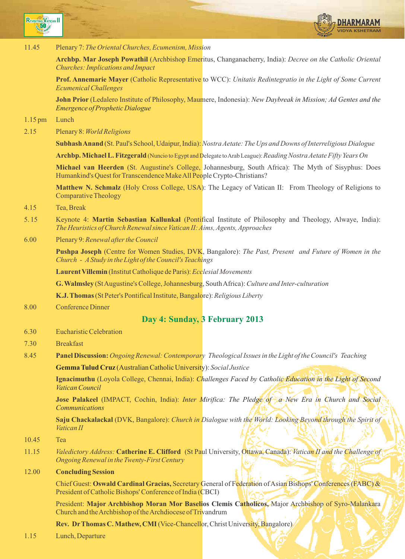

11.45 Plenary 7: The Oriental Churches, Ecumenism, Mission

Archbp. Mar Joseph Powathil (Archbishop Emeritus, Changanacherry, India): Decree on the Catholic Oriental Churches: Implications and Impact

Prof. Annemarie Mayer (Catholic Representative to WCC): Unitatis Redintegratio in the Light of Some Current Ecumenical Challenges

**John Prior** (Ledalero Institute of Philosophy, Maumere, Indonesia): *New Daybreak in Mission; Ad Gentes and the* Emergence of Prophetic Dialogue

1.15 pm Lunch

2.15 Plenary 8: World Religions

Subhash Anand (St. Paul's School, Udaipur, India): Nostra Aetate: The Ups and Downs of Interreligious Dialogue

Archbp. Michael L. Fitzgerald (Nuncio to Egypt and Delegate to Arab League): Reading Nostra Aetate Fifty Years On

Michael van Heerden (St. Augustine's College, Johannesburg, South Africa): The Myth of Sisyphus: Does Humankind's Quest for Transcendence Make All People Crypto-Christians?

Matthew N. Schmalz (Holy Cross College, USA): The Legacy of Vatican II: From Theology of Religions to Comparative Theology

- 4.15 Tea, Break
- 5. 15 Keynote 4: Martin Sebastian Kallunkal (Pontifical Institute of Philosophy and Theology, Alwaye, India): The Heuristics of Church Renewal since Vatican II: Aims, Agents, Approaches
- 6.00 Plenary 9: Renewal after the Council

Pushpa Joseph (Centre for Women Studies, DVK, Bangalore): The Past, Present and Future of Women in the Church - AStudy in the Light of the Council's Teachings

Laurent Villemin (Institut Catholique de Paris): Ecclesial Movements

G. Walmsley (St Augustine's College, Johannesburg, South Africa): Culture and Inter-culturation

K.J. Thomas (St Peter's Pontifical Institute, Bangalore): Religious Liberty

8.00 Conference Dinner

## Day 4: Sunday, 3 February 2013

- 6.30 Eucharistic Celebration
- 7.30 Breakfast
- 8.45 **Panel Discussion:** Ongoing Renewal: Contemporary Theological Issues in the Light of the Council's Teaching

Gemma Tulud Cruz (Australian Catholic University): Social Justice

**Ignacimuthu** (Loyola College, Chennai, India): *Challenges Faced by Catholic Education in the Light of Second* Vatican Council

**Jose Palakeel** (IMPACT, Cochin, India): Inter Mirifica: The Pledge of a New Era in Church and Social Communications

Saju Chackalackal (DVK, Bangalore): Church in Dialogue with the World: Looking Beyond through the Spirit of Vatican II

- 10.45 Tea
- 11.15 Valedictory Address: Catherine E. Clifford (St Paul University, Ottawa, Canada): Vatican II and the Challenge of Ongoing Renewal in the Twenty-First Century

#### 12.00 Concluding Session

Chief Guest: Oswald Cardinal Gracias, Secretary General of Federation of Asian Bishops' Conferences (FABC) & President of Catholic Bishops' Conference of India (CBCI)

President: Major Archbishop Moran Mor Baselios Clemis Catholicos, Major Archbishop of Syro-Malankara Church and the Archbishop of the Archdiocese of Trivandrum

Rev. DrThomas C. Mathew, CMI (Vice-Chancellor, Christ University, Bangalore)

1.15 Lunch, Departure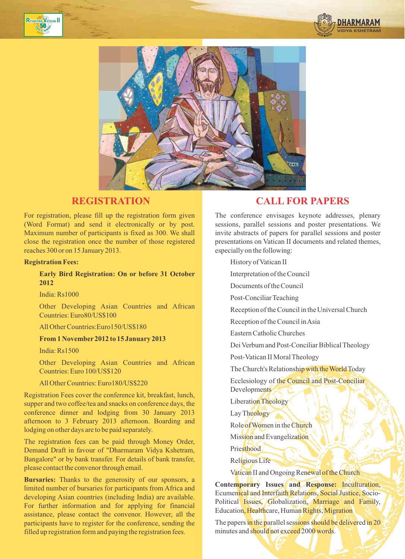





For registration, please fill up the registration form given (Word Format) and send it electronically or by post. Maximum number of participants is fixed as 300. We shall close the registration once the number of those registered reaches 300 or on 15 January 2013.

#### Registration Fees:

#### Early Bird Registration: On or before 31 October 2012

India: Rs1000

Other Developing Asian Countries and African Countries: Euro80/US\$100

All Other Countries:Euro150/US\$180

#### From 1 November 2012 to 15 January 2013

India: Rs1500

Other Developing Asian Countries and African Countries: Euro 100/US\$120

All Other Countries: Euro180/US\$220

Registration Fees cover the conference kit, breakfast, lunch, supper and two coffee/tea and snacks on conference days, the conference dinner and lodging from 30 January 2013 afternoon to 3 February 2013 afternoon. Boarding and lodging on other days are to be paid separately.

The registration fees can be paid through Money Order, Demand Draft in favour of "Dharmaram Vidya Kshetram, Bangalore" or by bank transfer. For details of bank transfer, please contact the convenor through email.

Bursaries: Thanks to the generosity of our sponsors, a limited number of bursaries for participants from Africa and developing Asian countries (including India) are available. For further information and for applying for financial assistance, please contact the convenor. However, all the participants have to register for the conference, sending the filled up registration form and paying the registration fees.

# REGISTRATION CALL FOR PAPERS

The conference envisages keynote addresses, plenary sessions, parallel sessions and poster presentations. We invite abstracts of papers for parallel sessions and poster presentations on Vatican II documents and related themes, especially on the following:

History of Vatican II

Interpretation of the Council

Documents of the Council

Post-Conciliar Teaching

Reception of the Council in the Universal Church

Reception of the Council in Asia

Eastern Catholic Churches

Dei Verbum and Post-Conciliar Biblical Theology

Post-Vatican II Moral Theology

The Church's Relationship with the World Today

Ecclesiology of the Council and Post-Conciliar **Developments** 

Liberation Theology

Lay Theology

Role of Women in the Church

Mission and Evangelization

**Priesthood** 

Religious Life

Vatican II and Ongoing Renewal of the Church

Contemporary Issues and Response: Inculturation, Ecumenical and Interfaith Relations, Social Justice, Socio-Political Issues, Globalization, Marriage and Family, Education, Healthcare, Human Rights, Migration

The papers in the parallel sessions should be delivered in 20 minutes and should not exceed 2000 words.